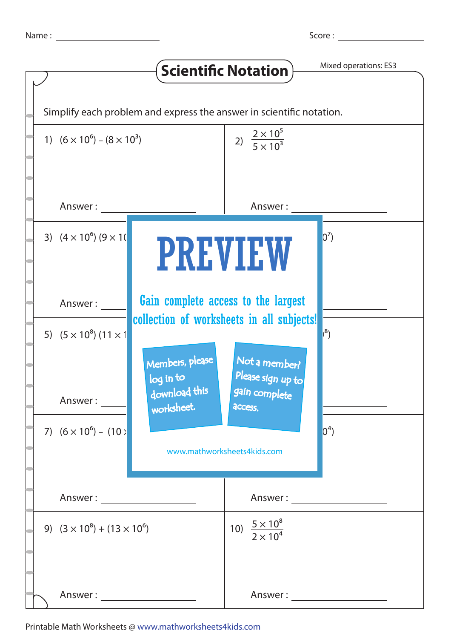Score :

|                                                                      |                                                                                  | <b>Scientific Notation</b>                    | Mixed operations: ES3 |  |  |  |
|----------------------------------------------------------------------|----------------------------------------------------------------------------------|-----------------------------------------------|-----------------------|--|--|--|
| Simplify each problem and express the answer in scientific notation. |                                                                                  |                                               |                       |  |  |  |
| 1) $(6 \times 10^6) - (8 \times 10^3)$                               |                                                                                  | 2) $\frac{2 \times 10^5}{5 \times 10^3}$      |                       |  |  |  |
| Answer:                                                              |                                                                                  | Answer:                                       |                       |  |  |  |
| 3) $(4 \times 10^6)$ $(9 \times 10^6)$                               | <b>PREVIEW</b>                                                                   |                                               | $ 0^7\rangle$         |  |  |  |
| Answer:                                                              | Gain complete access to the largest<br>collection of worksheets in all subjects! |                                               |                       |  |  |  |
| 5) $(5 \times 10^8)$ (11 $\times$ 1                                  | Members, please                                                                  | Not a member?                                 | $ ^{8})$              |  |  |  |
| Answer:                                                              | log in to<br>download this<br>worksheet.                                         | Please sign up to<br>gain complete<br>access. |                       |  |  |  |
| 7) $(6 \times 10^6) - (10)$                                          | $ 0^4\rangle$<br>www.mathworksheets4kids.com                                     |                                               |                       |  |  |  |
| Answer: ________________________                                     |                                                                                  |                                               |                       |  |  |  |
| 9) $(3 \times 10^8) + (13 \times 10^6)$                              |                                                                                  | 10) $\frac{5 \times 10^8}{2 \times 10^4}$     |                       |  |  |  |
| Answer : _______________________                                     |                                                                                  |                                               |                       |  |  |  |